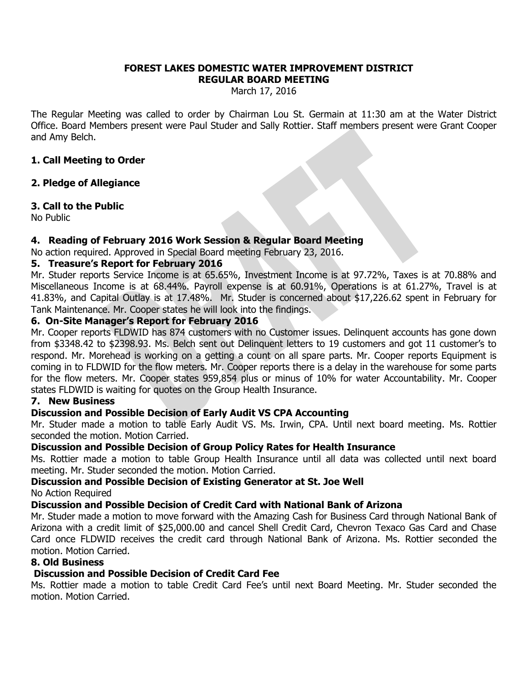#### **FOREST LAKES DOMESTIC WATER IMPROVEMENT DISTRICT REGULAR BOARD MEETING**

March 17, 2016

The Regular Meeting was called to order by Chairman Lou St. Germain at 11:30 am at the Water District Office. Board Members present were Paul Studer and Sally Rottier. Staff members present were Grant Cooper and Amy Belch.

### **1. Call Meeting to Order**

# **2. Pledge of Allegiance**

### **3. Call to the Public**

No Public

# **4. Reading of February 2016 Work Session & Regular Board Meeting**

No action required. Approved in Special Board meeting February 23, 2016.

### **5. Treasure's Report for February 2016**

Mr. Studer reports Service Income is at 65.65%, Investment Income is at 97.72%, Taxes is at 70.88% and Miscellaneous Income is at 68.44%. Payroll expense is at 60.91%, Operations is at 61.27%, Travel is at 41.83%, and Capital Outlay is at 17.48%. Mr. Studer is concerned about \$17,226.62 spent in February for Tank Maintenance. Mr. Cooper states he will look into the findings.

#### **6. On-Site Manager's Report for February 2016**

Mr. Cooper reports FLDWID has 874 customers with no Customer issues. Delinquent accounts has gone down from \$3348.42 to \$2398.93. Ms. Belch sent out Delinquent letters to 19 customers and got 11 customer's to respond. Mr. Morehead is working on a getting a count on all spare parts. Mr. Cooper reports Equipment is coming in to FLDWID for the flow meters. Mr. Cooper reports there is a delay in the warehouse for some parts for the flow meters. Mr. Cooper states 959,854 plus or minus of 10% for water Accountability. Mr. Cooper states FLDWID is waiting for quotes on the Group Health Insurance.

# **7. New Business**

# **Discussion and Possible Decision of Early Audit VS CPA Accounting**

Mr. Studer made a motion to table Early Audit VS. Ms. Irwin, CPA. Until next board meeting. Ms. Rottier seconded the motion. Motion Carried.

# **Discussion and Possible Decision of Group Policy Rates for Health Insurance**

Ms. Rottier made a motion to table Group Health Insurance until all data was collected until next board meeting. Mr. Studer seconded the motion. Motion Carried.

# **Discussion and Possible Decision of Existing Generator at St. Joe Well**

No Action Required

#### **Discussion and Possible Decision of Credit Card with National Bank of Arizona**

Mr. Studer made a motion to move forward with the Amazing Cash for Business Card through National Bank of Arizona with a credit limit of \$25,000.00 and cancel Shell Credit Card, Chevron Texaco Gas Card and Chase Card once FLDWID receives the credit card through National Bank of Arizona. Ms. Rottier seconded the motion. Motion Carried.

#### **8. Old Business**

# **Discussion and Possible Decision of Credit Card Fee**

Ms. Rottier made a motion to table Credit Card Fee's until next Board Meeting. Mr. Studer seconded the motion. Motion Carried.